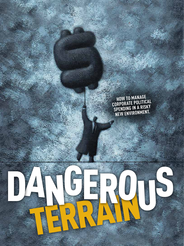T**How to manage corporate political spending in a risky new environment.**

T

20 The conference board review

TERRAIN

DA ROIS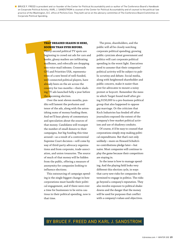■ BRUCE F. FREED is president and co-founder of the Center for Political Accountability and co-author of The Conference Board's Handbook on Corporate Political Activity. KARL J. SANDSTROM is counsel of the Center for Political Accountability and of counsel to the political-law practice of the Washington, D.C. office of Perkins Coie. They both serve on the advisory committee of The Conference Board Committee on Corporate Political Spending.

#### **That dreaded season is here, sooner than ever before.**

THAT DREAST<br>
SOONER THE THIRTY-SECON<br>
Deginning to<br>
beginning to<br>
banks, gloss<br>
mailboxes, a<br>
into voice-m<br>
GPS and Pri<br>
tives of a ne<br>
well-connec<br>
already beer<br>
country for<br>
ing TV ads l<br>
the upcomin Thirty-second political TV spots are beginning to crowd out ads for cars and banks, glossy mailers are infiltrating mailboxes, and robocalls are dropping into voice-mail inboxes. Crossroads GPS and Priorities USA, representatives of a new breed of well-funded, well-connected political players, have already been on the air across the country for two months—their slashing TV ads launched fully a year before the upcoming election.

Over the next eleven months, pundits will lament the profusion and tenor of the ads, along with the astonishing sums of money funding them. And we'll hear plenty of commentary and speculation about the sources of that money. Candidates will trumpet the number of small donors to their campaigns, but big funding this time around—as a result of a controversial Supreme Court decision—will come by way of third-party advocacy organizations and from corporate, trade-association, and union treasuries. The source of much of that money will be hidden from the public, offering a measure of anonymity for companies looking to influence elections.

This outsourcing of campaign spending is the single biggest change in how corporations must handle their political engagement, and if there were ever a time for businesses to be extra cautious in their political spending, now is that time.

The press, shareholders, and the public will all be closely watching corporate political spending; growing public cynicism about government and politics will cast corporate political spending in the worst light. Executives need to assume that their companies' political activity will be subject to public scrutiny and debate. Social media, along with heightened shareholder and public concern, make it easier than ever for advocates to mount a noisy protest or boycott. Remember the mess in which Target found itself after giving \$150,000 to a pro-business political group that also happened to oppose gay marriage. Or the criticism that Koch Industries has fended off after journalists exposed the extent of the company's free-market political activism and use of shadowy conduits.

Of course, it'd be easy to counsel that corporations simply stop making political expenditures. But that's not only unlikely—more on Howard Schultz's no-contributions pledge later—but naïve. Most companies will continue to play the game because their competitors are staying in.

So the issue is how to manage spending. And the playing field looks very different this election cycle, in ways that carry new risks for companies determined to engage in politics. The risks go beyond a company's reputation. They also involve exposure to political shakedowns and the danger that the money will be used for purposes that conflict with a company's values and objectives.

### By Bruce F. Freed and Karl J. Sandstrom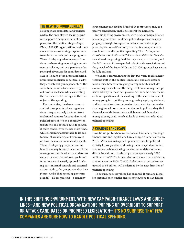#### The New 800-Pound Gorillas

No longer are candidates and political parties the only players seeking corporate support. Today, a variety of new players on the political stage—Super PACs, 501(c)(4) organizations, and trade associations—are asking corporations to underwrite their political programs. These third-party advocacy organizations are becoming increasingly prominent, displacing political parties as the principal advocates for candidates and causes. Though often associated with a prominent politician or political party, they are ostensibly independent. At the same time, some activists have figured out how to use them while concealing the true source of funding and the true object of the spending.

For companies, the dangers associated with supporting these organizations are qualitatively different from traditional support for candidates and political parties. When a company contributes to one of these outside groups, it cedes control over the use of its funds while remaining accountable to its customers, shareholders, and employees on how the money is eventually spent. These third-party groups determine how the money is used; they control the message and decide which candidates to support. A contributor's own goals and intentions can be easily ignored. Lacking basic internal controls and external accountability, the groups spend as they please. And if that spending generates scandal—all too possible—a company

giving money can find itself mired in controversy and, as a passive contributor, unable to control the narrative.

In this shifting environment, with new campaign-finance laws and guidelines—and new political organizations popping up overnight to support or attack candidates or proposed legislation—it's no surprise that few companies are sure how to handle political spending. The U.S. Supreme Court's decision in *Citizens United v. Federal Election Commission* altered the playing field for corporate participation, and the full impact of the expanded role of trade associations and the growth of the Super PACs and 501(c)(4) groups have yet to be fully realized.

What has occurred in just the last two years marks a neartectonic shift in the political landscape, and corporations must decide how they are going to respond. This includes examining the costs and the dangers of outsourcing their political activity to these new players. At the same time, the uncertain regulation and the cloaking of the source and use of money going into politics poses a growing legal, reputational, and business threat to companies that spend. As companies face heightened pressure to spend more in politics, they find themselves with fewer tools available to track how their money is being used, which all leads to more risk related to political spending.

#### A Changed Landscape

How did we get to where we are today? First of all, campaignfinance laws and regulations have changed dramatically since 2010. *Citizens United* opened up new avenues for political activity for corporations, allowing them to spend unlimited amounts on ads advocating the election or defeat of a candidate. In addition, third-party groups spent nearly \$300 million in the 2010 midterm elections, more than double the amount spent in 2008. The 2012 elections, expected to cost upward of \$6 billion, will be defined by the new direction of political spending.

To be sure, not everything has changed: It remains illegal for corporations to make direct contributions to candidates

**In this shifting environment, with new campaign-finance laws and guidelines—and new political organizations popping up overnight to support or attack candidates or proposed legislation—it's no surprise that few companies are sure how to handle political spending.**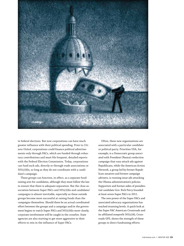

in federal elections. But now corporations can have much greater influence with their political spending. Prior to *Citizens United*, corporations could finance political advertisements only through PACs, which are funded through voluntary contributions and must file frequent, detailed reports with the Federal Election Commission. Today, corporations can fund such ads, directly or through trade associations or 501(c)(4)s, so long as they do not coordinate with a candidate's campaign.

These groups can function, in effect, as a separate fundraising arm for candidates, although they must follow the law to ensure that there is adequate separation. But the close association between Super PACs and 501(c)(4)s and candidates' campaigns is almost inevitable, especially as these outside groups become more successful at raising funds than the campaigns themselves. Should there be an actual coordinated effort between the groups and a campaign and/or the government begins to watch Super PACs and 501(c)(4)s more closely, corporate involvement will be caught in the crossfire. State agencies are also starting to get more aggressive in their efforts to rein in the influence of Super PACs.

Often, these new organizations are associated with a particular candidate or political party. Priorities USA, for example, is a Democratic group associated with President Obama's reelection campaign that runs attack ads against Republicans, while the American Action Network, a group led by former Republican senators and former campaign advisers, is running issue ads attacking the Obama administration's policies. Supporters and former aides of presidential candidate Gov. Rick Perry founded at least seven Super PACs in 2011.

The new power of the Super PACs and associated advocacy organizations has reached stunning levels. A quick look at the Super PAC American Crossroads and its affiliated nonprofit 501(c)(4), Crossroads GPS, shows the strength of these groups to direct fundraising efforts.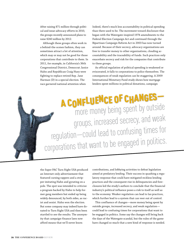After raising \$71 million through political and issue-advocacy efforts in 2010, the groups recently announced plans to raise \$240 million by 2012.

Although these groups often work in a behind-the-scenes fashion, they can sometimes attract a lot of attention, which may or may not be good for those corporations that contribute to them. In 2011, for example, in California's 36th Congressional District, Democrat Janice Hahn and Republican Craig Huey were fighting to replace retired Rep. Jane Harman (D) in a special election. The race garnered national attention when

Indeed, there's much less accountability in political spending than there used to be. The movement toward disclosure that began with the Watergate-inspired 1974 amendments to the Federal Election Campaign Act and continued through the Bipartisan Campaign Reform Act in 2003 has now turned around. Because of their secrecy, advocacy organizations are free to transfer money to other organizations, clouding accountability and the traceability of funds. Such practices only exacerbate secrecy and risk for the companies that contribute to these groups.

As official regulation of political spending is weakened or eviscerated, it falls to corporations to police themselves. The consequences of weak regulation can be staggering. A 2009 International Monetary Fund study shows how mortgage lenders spent millions in political donations, campaign

A confluence o<sup>f</sup> changes more money being spent by outside groups, increased secrecy, and weak regulation—could lead to confusing times for corporations that want to be engaged in politics.

the Super PAC Turn Right USA produced an Internet-only advertisement that featured cursing rappers and a stripper imitating Hahn and gyrating on a pole. The spot was intended to criticize a program backed by Hahn to help former gang members but ended up being widely denounced, by both sides, as racist and sexist. Hahn won the election. But some company may indeed have donated to Turn Right USA and then been startled to see the results. The anonymity that campaign-finance laws now afford means that we'll never know.

contributions, and lobbying activities to defeat legislation aimed at predatory lending. Their success in quashing a regulatory response that could have mitigated reckless lending practices and the consequent rise in delinquencies and foreclosures led the study's authors to conclude that the financial industry's political influence poses a risk to itself as well as to the economy. Weaker regulation can lead to lax practices, which further lead to a system that can veer out of control.

This confluence of changes—more money being spent by outside groups, increased secrecy, and weak regulation could lead to confusing times for corporations that want to be engaged in politics. Some say the changes will bring back the days of the Watergate scandal, but the rules of the game have changed so much that a new kind of response is needed.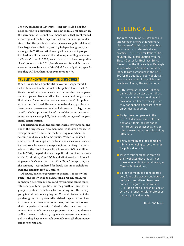The very practices of Watergate—corporate cash being funneled secretly to a campaign—are now on full, legal display. It's the players in the new political-money world that are shrouded in secrecy, and the full impact of that secrecy is not yet understood. Over the past few decades the names of political donors have largely been disclosed, even by independent groups, but no longer. In 2004 and 2006, nearly all independent groups involved in politics revealed their donors, according to a report by Public Citizen. In 2008, fewer than half of these groups disclosed donors, and in 2011, less than one-third did. If companies continue to be a part of this "dark" part of political spending, they will find themselves even more at risk.

#### "Public Anonymity, Private Disclosure"

When Kansas-based public utility Westar Energy found itself in financial trouble, it looked for political aid. In 2002, Westar coordinated a series of contributions by the company and its top executives to influential members of Congress and their allies. These donations—in a memo, the VP for public affairs specified the dollar amounts to be given by at least a dozen executives—were timed to help ensure that legislators would include a provision beneficial to Westar in the annual comprehensive energy bill, then in the late stages of congressional consideration.

The executives made the recommended contributions, and one of the targeted congressmen inserted Westar's requested exemption into the bill. But the following year, when the seeming quid pro quo became public, Westar found itself under federal investigation for fraud and executive misuse of its resources; because of changes in its accounting that were related to the fraud charges, it had posted a \$793.4 million loss in 2002, the period when the political contributions were made. In addition, after CEO David Wittig—who had hoped to personally clear as much as \$15 million from splitting up the company—was indicted for fraud, Westar shareholders sued the company for \$100 million.

Of course, business/government symbiosis is rarely this open—and rarely ends so badly. And a properly measured connection between business and government can be mutually beneficial for all parties. But the growth of third-party groups threatens the balance by concealing both the money going in and the money going out. Without disclosure, independent groups can potentially mislead corporate contributors; companies then have no recourse, nor can they follow their competitors' behavior. Indeed, at the same time that companies are under increased pressure—from candidates as well as the new third-party organizations—to spend more in politics, they have fewer tools available to track their money and monitor its use.

# Telling All

The CPA-Zicklin Index, introduced in late October, shows that voluntary disclosure of political spending has become a corporate mainstream practice. The Center for Political Accountability, in conjunction with the Zicklin Center for Business Ethics Research of the University of Pennsylvania's Wharton School, created the index to rate companies in the S&P 100 for the quality of political disclosure and accountability policies and practices. Among the key findings:

- Fifty-seven of the S&P 100 companies either disclose their direct corporate political spending and have adopted board oversight—or they bar spending corporate cash on politics altogether.
- $\blacksquare$  Forty-three companies in the S&P 100 disclose some information about their indirect spending through trade associations or other tax-exempt groups, including 501(c)(4)s.
- **Thirty companies place some pro**hibitions on using corporate funds for political activity.
- **T** Twenty-four companies state on their websites that they will not make independent expenditures, as *Citizens United* allows.
- Sixteen companies spend no treasury funds directly on candidates or political committees. Two companies—Colgate-Palmolive and IBM—go so far as to prohibit use of corporate funds for either direct or indirect political activity.

—B.F.F. and K.J.S.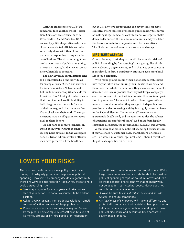With the emergence of  $501(c)(4)s$ , companies face another threat—extortion. Some of these groups, such as Crossroads GPS and Priorities USA, are run by political operatives who have close ties to elected officials and who very likely share with them how companies are responding to requests for contributions. The situation might best be characterized as "public anonymity, private disclosure," and it leaves companies vulnerable to pressure.

The new advocacy organizations tend to be controlled by a few individuals: for example, former Sen. Norm Coleman for American Action Network, and Bill Burton, former top Obama aide for Priorities USA. This tight control means that contributors have little ability to hold the groups accountable for use of their money, and that there are few, if any, checks on their work. The organizations have no obligation to report back to their donors.

It's not hard to conjure scenarios in which executives wind up in embarrassing news articles. In the Watergate debacle, Nixon administration officials may have garnered all the headlines,

but in 1974, twelve corporations and seventeen corporate executives were indicted or pleaded guilty, mainly to charges of making illegal campaign contributions. Watergate's shakedown badly burned the business community, and years later, the lessons remain for companies and their executives: The likely outcome of secrecy is scandal and damage.

#### Misaligned Agendas

Companies may think they can avoid the potential risks of political spending by "outsourcing" their giving: Use thirdparty advocacy organizations, and in that way your company is insulated. In fact, a third party can cause even more headaches for a company.

With many groups keeping their donor lists secret, companies may be lulled into thinking their identities are safe and, therefore, that whatever donations they make are untraceable. Some 501(c)(4)s may promise that they will keep a company's contributions secret, but that is a promise they are in no position to guarantee. The extent to which these organizations must disclose donors when they engage in independent expenditure or electioneering activity is a highly contested issue in the Federal Election Commission. (The commission is currently deadlocked, and the question is also the subject of a pending case in federal court.) And apart from legally compelled disclosure, the information could leak out anytime.

A company that hides its political spending because it fears it may alienate its customer base, shareholders, or employees—or, worse, may cause legal problems—should reevaluate its political expenditures entirely.

## Lower Your Risks

There is no substitute for a clear policy of not giving money to third-party groups for purposes of political spending. However, if a company decides to go that route, there are ways to better position itself. A few steps to help avoid outsourcing risks:

- Take steps to *protect your company* and take ownership of your action. Do not allow yourself to be a silent partner.
- Ask for *regular updates* from trade associations—small courses of action can head off large problems.
- Place *restrictions on how company money can be used* by recipients. For example, Microsoft prohibits use of its money directly or by third parties for independent

expenditures or electioneering communications. Wells Fargo does not allow its corporate funds to be used for political spending except for ballot initiatives and tells its trade associations to confirm that its money will not be used for restricted purposes. Merck does not contribute to judicial elections.

- Always be sure to *consult with in-house and outside counsel* to ensure compliance.
- *A critical mass of companies* will make a difference and protect all companies. It will establish best practices to help companies navigate political spending and make political disclosure and accountability a corporate governance standard.